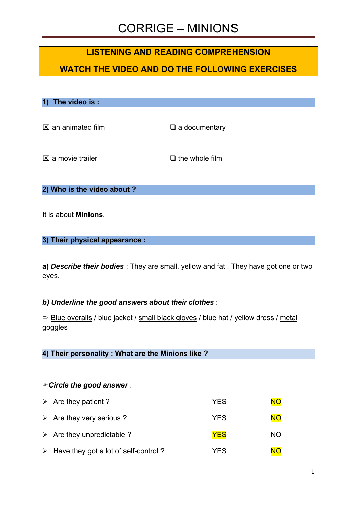### **LISTENING AND READING COMPREHENSION**

### **WATCH THE VIDEO AND DO THE FOLLOWING EXERCISES**

**1) The video is :** 

 $\boxtimes$  an animated film  $\Box$  a documentary

 $\boxtimes$  a movie trailer  $\Box$  the whole film

**2) Who is the video about ?** 

It is about **Minions**.

**3) Their physical appearance :** 

**a)** *Describe their bodies* : They are small, yellow and fat . They have got one or two eyes.

#### *b) Underline the good answers about their clothes* :

 $\Rightarrow$  Blue overalls / blue jacket / small black gloves / blue hat / yellow dress / metal goggles

**4) Their personality : What are the Minions like ?**

#### *Circle the good answer* :

| $\triangleright$ Are they patient ?       | <b>YES</b> | <b>NO</b> |
|-------------------------------------------|------------|-----------|
| $\triangleright$ Are they very serious ?  | <b>YES</b> | <b>NO</b> |
| $\triangleright$ Are they unpredictable ? | <b>YES</b> | <b>NO</b> |
| > Have they got a lot of self-control?    | YFS        | NΩ        |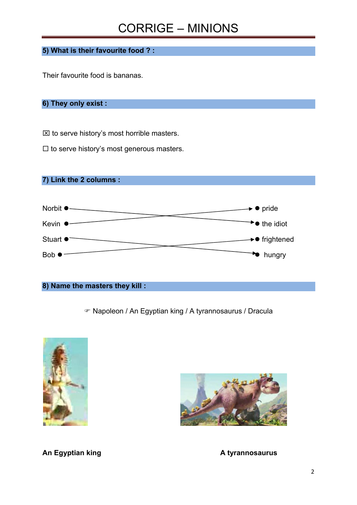**5) What is their favourite food ? :**

Their favourite food is bananas.

### **6) They only exist :**

 $\boxtimes$  to serve history's most horrible masters.

 $\Box$  to serve history's most generous masters.

**7) Link the 2 columns :** 



#### **8) Name the masters they kill :**

Napoleon / An Egyptian king / A tyrannosaurus / Dracula





**An Egyptian king the contract of the Contract A tyrannosaurus**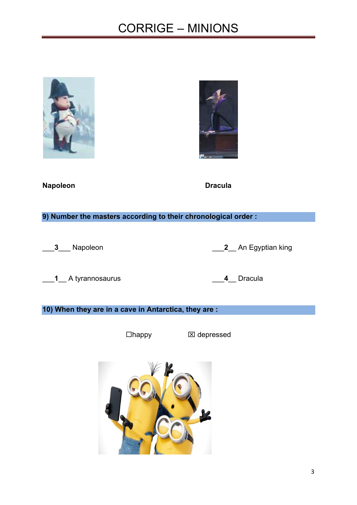



**Napoleon** Dracula

**9) Number the masters according to their chronological order :** 

\_\_\_**3**\_\_\_ Napoleon \_\_\_**2**\_\_ An Egyptian king

\_\_\_**1**\_\_ A tyrannosaurus \_\_\_**4**\_\_ Dracula

#### **10) When they are in a cave in Antarctica, they are :**

□happy **x** depressed

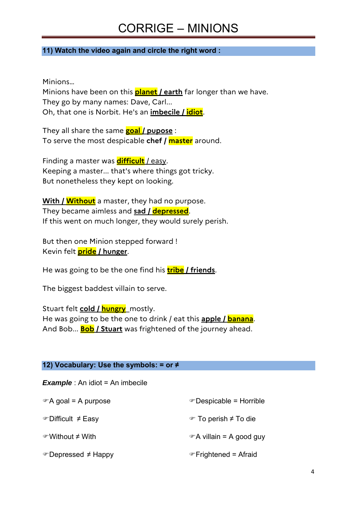#### **11) Watch the video again and circle the right word :**

Minions…

Minions have been on this **planet / earth** far longer than we have. They go by many names: Dave, Carl... Oh, that one is Norbit. He's an **imbecile / idiot**.

They all share the same **goal / pupose** : To serve the most despicable **chef / master** around.

Finding a master was **difficult** / easy. Keeping a master... that's where things got tricky. But nonetheless they kept on looking.

**With / Without** a master, they had no purpose. They became aimless and **sad / depressed**. If this went on much longer, they would surely perish.

But then one Minion stepped forward ! Kevin felt **pride / hunger**.

He was going to be the one find his **tribe / friends**.

The biggest baddest villain to serve.

Stuart felt **cold / hungry**\_mostly. He was going to be the one to drink / eat this **apple / banana**. And Bob... **Bob / Stuart** was frightened of the journey ahead.

#### **12) Vocabulary: Use the symbols: = or ≠**

*Example* : An idiot = An imbecile

| $\mathcal{F}$ A goal = A purpose | ☞ Despicable = Horrible               |
|----------------------------------|---------------------------------------|
| ☞Difficult ≠ Easy                | $\mathcal{F}$ To perish $\neq$ To die |
| <i></i> Without ≠ With           | $\mathcal{F}$ A villain = A good guy  |
| ☞Depressed ≠ Happy               | ☞ Frightened = Afraid                 |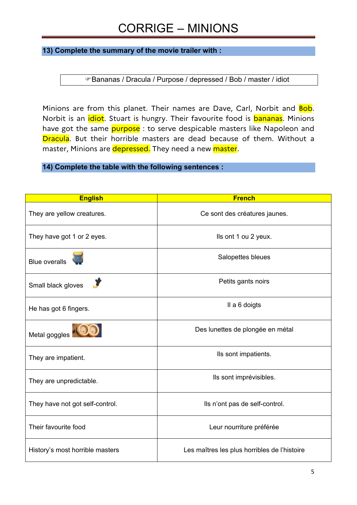**13) Complete the summary of the movie trailer with :** 

Bananas / Dracula / Purpose / depressed / Bob / master / idiot

Minions are from this planet. Their names are Dave, Carl, Norbit and **Bob**. Norbit is an *idiot*. Stuart is hungry. Their favourite food is **bananas**. Minions have got the same **purpose**: to serve despicable masters like Napoleon and **Dracula**. But their horrible masters are dead because of them. Without a master, Minions are depressed. They need a new master.

**14) Complete the table with the following sentences :** 

| <b>English</b>                  | <b>French</b>                                |
|---------------------------------|----------------------------------------------|
| They are yellow creatures.      | Ce sont des créatures jaunes.                |
| They have got 1 or 2 eyes.      | Ils ont 1 ou 2 yeux.                         |
| <b>Blue overalls</b>            | Salopettes bleues                            |
| Small black gloves              | Petits gants noirs                           |
| He has got 6 fingers.           | Il a 6 doigts                                |
| Metal goggles                   | Des lunettes de plongée en métal             |
| They are impatient.             | Ils sont impatients.                         |
| They are unpredictable.         | Ils sont imprévisibles.                      |
| They have not got self-control. | Ils n'ont pas de self-control.               |
| Their favourite food            | Leur nourriture préférée                     |
| History's most horrible masters | Les maîtres les plus horribles de l'histoire |